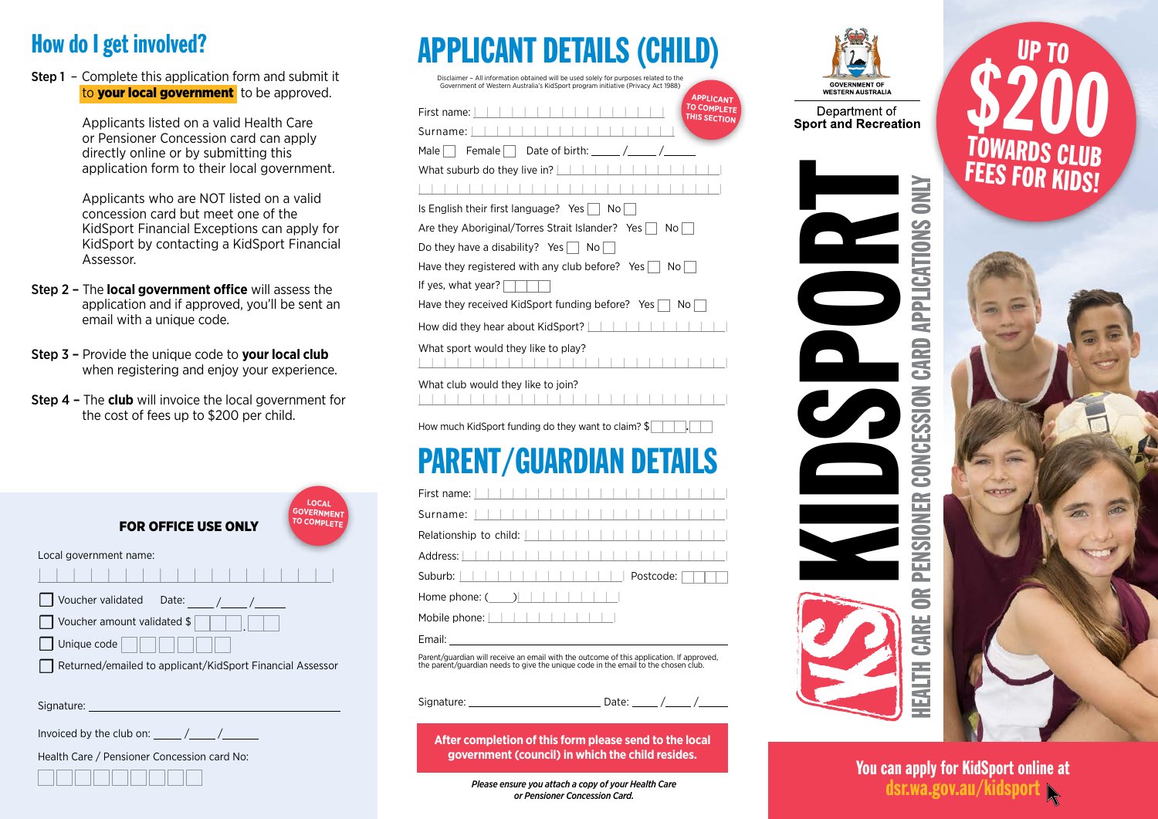#### How do I get involved?

Step 1 – Complete this application form and submit it to **your local government** to be approved.

> Applicants listed on a valid Health Care or Pensioner Concession card can apply directly online or by submitting this application form to their local government.

Applicants who are NOT listed on a valid concession card but meet one of the KidSport Financial Exceptions can apply for KidSport by contacting a KidSport Financial Assessor.

- Step 2 The **local government office** will assess the application and if approved, you'll be sent an email with a unique code.
- Step 3 Provide the unique code to **your local club** when registering and enjoy your experience.
- Step 4 The **club** will invoice the local government for the cost of fees up to \$200 per child.

FOR OFFICE USE ONLY Local government name: <u>||||||||||||||||||||||||||||||</u>  $\Box$  Voucher validated Date:  $\Box$  Voucher amount validated \$  $\Box$  Unique code  $\Box$ ☐Returned/emailed to applicant/KidSport Financial Assessor **LOCAL GOVERNMENT TO COMPLETE**

Signature:

Invoiced by the club on: / /

Health Care / Pensioner Concession card No:



| <b>APPLICANT DETAILS (CHILD)</b> |  |
|----------------------------------|--|
|----------------------------------|--|

Disclaimer – All information obtained will be used solely for purposes related to the

| Government of Western Australia's KidSport program initiative (Privacy Act 1988)<br><b>APPLICANT</b> |
|------------------------------------------------------------------------------------------------------|
| <b>TO COMPLETE</b><br>First name:<br>THIS SECTION                                                    |
| Surname:                                                                                             |
| Female   Date of birth:<br>Male I                                                                    |
| What suburb do they live in?                                                                         |
|                                                                                                      |
| Is English their first language? Yes    <br>No l                                                     |
| Are they Aboriginal/Torres Strait Islander? Yes<br>Nol                                               |
| Do they have a disability? Yes $\vert \ \vert$<br>No.                                                |
| Have they registered with any club before? Yes $\vert$<br>No l                                       |
| If yes, what year?                                                                                   |
| Have they received KidSport funding before? Yes<br>No.                                               |
| How did they hear about KidSport?                                                                    |
| What sport would they like to play?                                                                  |
| What club would they like to join?                                                                   |
|                                                                                                      |

How much KidSport funding do they want to claim?  $\frac{1}{2}$ 

## PARENT/GUARDIAN DETAILS

| Home phone: $($ ) $ $ $ $ $ $ $ $ $ $ $ $ $ $                                                                               |
|-----------------------------------------------------------------------------------------------------------------------------|
| Mobile phone: $\vert \vert \vert \vert \vert \vert \vert \vert \vert \vert \vert \vert \vert \vert \vert \vert \vert \vert$ |
| Email: __________________________                                                                                           |

Parent/guardian will receive an email with the outcome of this application. If approved, the parent/guardian needs to give the unique code in the email to the chosen club.

Signature: **Date:** Date:

**After completion of this form please send to the local government (council) in which the child resides.**

> *Please ensure you attach a copy of your Health Care or Pensioner Concession Card.*



Department of **Sport and Recreation** 



UP TO

You can apply for KidSport online at<br>dsr.wa.gov.au/kidsport